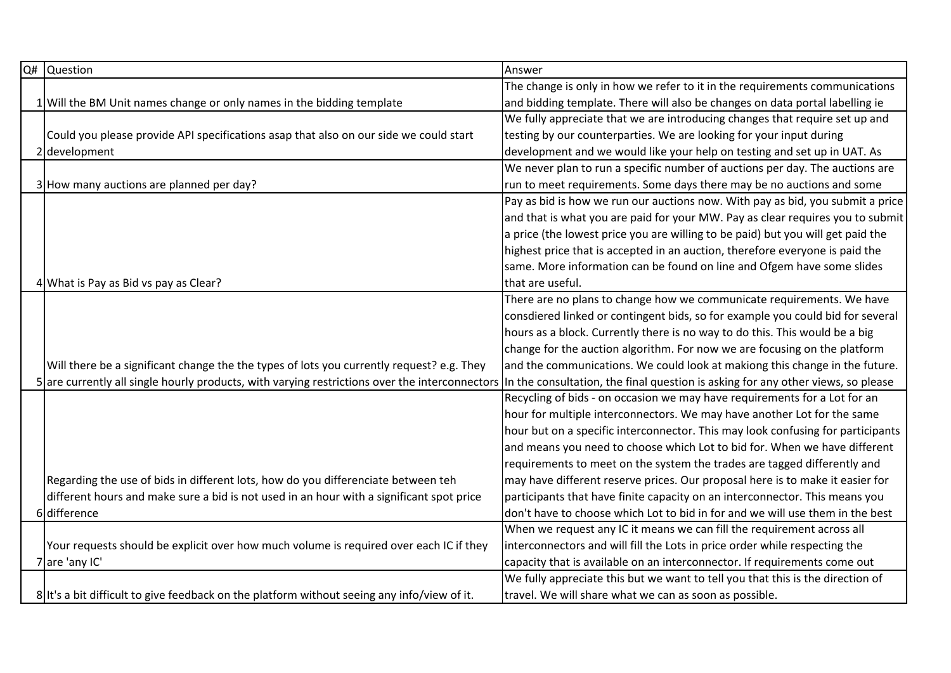| Q# | <b>Question</b>                                                                                | Answer                                                                           |
|----|------------------------------------------------------------------------------------------------|----------------------------------------------------------------------------------|
|    |                                                                                                | The change is only in how we refer to it in the requirements communications      |
|    | 1 Will the BM Unit names change or only names in the bidding template                          | and bidding template. There will also be changes on data portal labelling ie     |
|    |                                                                                                | We fully appreciate that we are introducing changes that require set up and      |
|    | Could you please provide API specifications asap that also on our side we could start          | testing by our counterparties. We are looking for your input during              |
|    | 2 development                                                                                  | development and we would like your help on testing and set up in UAT. As         |
|    |                                                                                                | We never plan to run a specific number of auctions per day. The auctions are     |
|    | 3 How many auctions are planned per day?                                                       | run to meet requirements. Some days there may be no auctions and some            |
|    |                                                                                                | Pay as bid is how we run our auctions now. With pay as bid, you submit a price   |
|    |                                                                                                | and that is what you are paid for your MW. Pay as clear requires you to submit   |
|    |                                                                                                | a price (the lowest price you are willing to be paid) but you will get paid the  |
|    |                                                                                                | highest price that is accepted in an auction, therefore everyone is paid the     |
|    |                                                                                                | same. More information can be found on line and Ofgem have some slides           |
|    | 4 What is Pay as Bid vs pay as Clear?                                                          | that are useful.                                                                 |
|    |                                                                                                | There are no plans to change how we communicate requirements. We have            |
|    |                                                                                                | consdiered linked or contingent bids, so for example you could bid for several   |
|    |                                                                                                | hours as a block. Currently there is no way to do this. This would be a big      |
|    |                                                                                                | change for the auction algorithm. For now we are focusing on the platform        |
|    | Will there be a significant change the the types of lots you currently request? e.g. They      | and the communications. We could look at makiong this change in the future.      |
|    | 5 are currently all single hourly products, with varying restrictions over the interconnectors | In the consultation, the final question is asking for any other views, so please |
|    |                                                                                                | Recycling of bids - on occasion we may have requirements for a Lot for an        |
|    |                                                                                                | hour for multiple interconnectors. We may have another Lot for the same          |
|    |                                                                                                | hour but on a specific interconnector. This may look confusing for participants  |
|    |                                                                                                | and means you need to choose which Lot to bid for. When we have different        |
|    |                                                                                                | requirements to meet on the system the trades are tagged differently and         |
|    | Regarding the use of bids in different lots, how do you differenciate between teh              | may have different reserve prices. Our proposal here is to make it easier for    |
|    | different hours and make sure a bid is not used in an hour with a significant spot price       | participants that have finite capacity on an interconnector. This means you      |
|    | 6 difference                                                                                   | don't have to choose which Lot to bid in for and we will use them in the best    |
|    |                                                                                                | When we request any IC it means we can fill the requirement across all           |
|    | Your requests should be explicit over how much volume is required over each IC if they         | interconnectors and will fill the Lots in price order while respecting the       |
|    | 7 are 'any IC'                                                                                 | capacity that is available on an interconnector. If requirements come out        |
|    |                                                                                                | We fully appreciate this but we want to tell you that this is the direction of   |
|    | 8 It's a bit difficult to give feedback on the platform without seeing any info/view of it.    | travel. We will share what we can as soon as possible.                           |